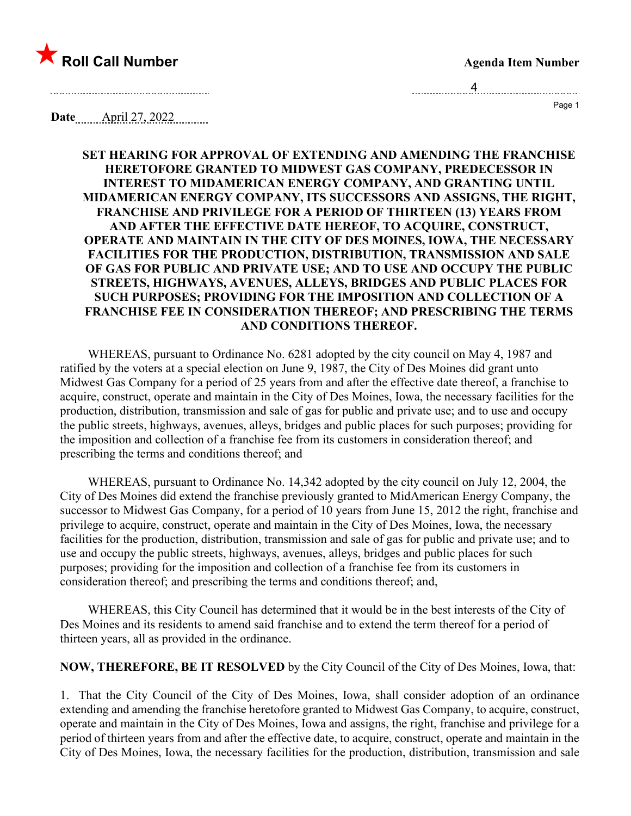

4 Page 1

**Date** April 27, 2022

## **SET HEARING FOR APPROVAL OF EXTENDING AND AMENDING THE FRANCHISE HERETOFORE GRANTED TO MIDWEST GAS COMPANY, PREDECESSOR IN INTEREST TO MIDAMERICAN ENERGY COMPANY, AND GRANTING UNTIL MIDAMERICAN ENERGY COMPANY, ITS SUCCESSORS AND ASSIGNS, THE RIGHT, FRANCHISE AND PRIVILEGE FOR A PERIOD OF THIRTEEN (13) YEARS FROM AND AFTER THE EFFECTIVE DATE HEREOF, TO ACQUIRE, CONSTRUCT, OPERATE AND MAINTAIN IN THE CITY OF DES MOINES, IOWA, THE NECESSARY FACILITIES FOR THE PRODUCTION, DISTRIBUTION, TRANSMISSION AND SALE OF GAS FOR PUBLIC AND PRIVATE USE; AND TO USE AND OCCUPY THE PUBLIC STREETS, HIGHWAYS, AVENUES, ALLEYS, BRIDGES AND PUBLIC PLACES FOR SUCH PURPOSES; PROVIDING FOR THE IMPOSITION AND COLLECTION OF A FRANCHISE FEE IN CONSIDERATION THEREOF; AND PRESCRIBING THE TERMS AND CONDITIONS THEREOF.**

WHEREAS, pursuant to Ordinance No. 6281 adopted by the city council on May 4, 1987 and ratified by the voters at a special election on June 9, 1987, the City of Des Moines did grant unto Midwest Gas Company for a period of 25 years from and after the effective date thereof, a franchise to acquire, construct, operate and maintain in the City of Des Moines, Iowa, the necessary facilities for the production, distribution, transmission and sale of gas for public and private use; and to use and occupy the public streets, highways, avenues, alleys, bridges and public places for such purposes; providing for the imposition and collection of a franchise fee from its customers in consideration thereof; and prescribing the terms and conditions thereof; and

WHEREAS, pursuant to Ordinance No. 14,342 adopted by the city council on July 12, 2004, the City of Des Moines did extend the franchise previously granted to MidAmerican Energy Company, the successor to Midwest Gas Company, for a period of 10 years from June 15, 2012 the right, franchise and privilege to acquire, construct, operate and maintain in the City of Des Moines, Iowa, the necessary facilities for the production, distribution, transmission and sale of gas for public and private use; and to use and occupy the public streets, highways, avenues, alleys, bridges and public places for such purposes; providing for the imposition and collection of a franchise fee from its customers in consideration thereof; and prescribing the terms and conditions thereof; and,

WHEREAS, this City Council has determined that it would be in the best interests of the City of Des Moines and its residents to amend said franchise and to extend the term thereof for a period of thirteen years, all as provided in the ordinance.

**NOW, THEREFORE, BE IT RESOLVED** by the City Council of the City of Des Moines, Iowa, that:

1. That the City Council of the City of Des Moines, Iowa, shall consider adoption of an ordinance extending and amending the franchise heretofore granted to Midwest Gas Company, to acquire, construct, operate and maintain in the City of Des Moines, Iowa and assigns, the right, franchise and privilege for a period of thirteen years from and after the effective date, to acquire, construct, operate and maintain in the City of Des Moines, Iowa, the necessary facilities for the production, distribution, transmission and sale